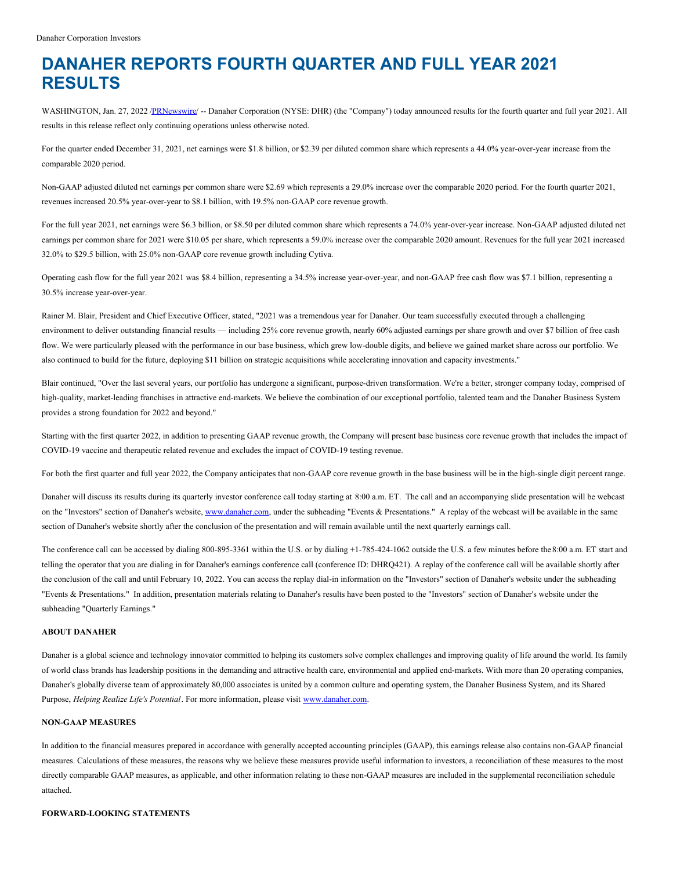# **DANAHER REPORTS FOURTH QUARTER AND FULL YEAR 2021 RESULTS**

WASHINGTON, Jan. 27, 2022 [/PRNewswire](http://www.prnewswire.com/)/ -- Danaher Corporation (NYSE: DHR) (the "Company") today announced results for the fourth quarter and full year 2021. All results in this release reflect only continuing operations unless otherwise noted.

For the quarter ended December 31, 2021, net earnings were \$1.8 billion, or \$2.39 per diluted common share which represents a 44.0% year-over-year increase from the comparable 2020 period.

Non-GAAP adjusted diluted net earnings per common share were \$2.69 which represents a 29.0% increase over the comparable 2020 period. For the fourth quarter 2021, revenues increased 20.5% year-over-year to \$8.1 billion, with 19.5% non-GAAP core revenue growth.

For the full year 2021, net earnings were \$6.3 billion, or \$8.50 per diluted common share which represents a 74.0% year-over-year increase. Non-GAAP adjusted diluted net earnings per common share for 2021 were \$10.05 per share, which represents a 59.0% increase over the comparable 2020 amount. Revenues for the full year 2021 increased 32.0% to \$29.5 billion, with 25.0% non-GAAP core revenue growth including Cytiva.

Operating cash flow for the full year 2021 was \$8.4 billion, representing a 34.5% increase year-over-year, and non-GAAP free cash flow was \$7.1 billion, representing a 30.5% increase year-over-year.

Rainer M. Blair, President and Chief Executive Officer, stated, "2021 was a tremendous year for Danaher. Our team successfully executed through a challenging environment to deliver outstanding financial results — including 25% core revenue growth, nearly 60% adjusted earnings per share growth and over \$7 billion of free cash flow. We were particularly pleased with the performance in our base business, which grew low-double digits, and believe we gained market share across our portfolio. We also continued to build for the future, deploying \$11 billion on strategic acquisitions while accelerating innovation and capacity investments."

Blair continued, "Over the last several years, our portfolio has undergone a significant, purpose-driven transformation. We're a better, stronger company today, comprised of high-quality, market-leading franchises in attractive end-markets. We believe the combination of our exceptional portfolio, talented team and the Danaher Business System provides a strong foundation for 2022 and beyond."

Starting with the first quarter 2022, in addition to presenting GAAP revenue growth, the Company will present base business core revenue growth that includes the impact of COVID-19 vaccine and therapeutic related revenue and excludes the impact of COVID-19 testing revenue.

For both the first quarter and full year 2022, the Company anticipates that non-GAAP core revenue growth in the base business will be in the high-single digit percent range.

Danaher will discuss its results during its quarterly investor conference call today starting at 8:00 a.m. ET. The call and an accompanying slide presentation will be webcast on the "Investors" section of Danaher's website, [www.danaher.com](http://www.danaher.com), under the subheading "Events & Presentations." A replay of the webcast will be available in the same section of Danaher's website shortly after the conclusion of the presentation and will remain available until the next quarterly earnings call.

The conference call can be accessed by dialing 800-895-3361 within the U.S. or by dialing +1-785-424-1062 outside the U.S. a few minutes before the8:00 a.m. ET start and telling the operator that you are dialing in for Danaher's earnings conference call (conference ID: DHRQ421). A replay of the conference call will be available shortly after the conclusion of the call and until February 10, 2022. You can access the replay dial-in information on the "Investors" section of Danaher's website under the subheading "Events & Presentations." In addition, presentation materials relating to Danaher's results have been posted to the "Investors" section of Danaher's website under the subheading "Quarterly Earnings."

# **ABOUT DANAHER**

Danaher is a global science and technology innovator committed to helping its customers solve complex challenges and improving quality of life around the world. Its family of world class brands has leadership positions in the demanding and attractive health care, environmental and applied end-markets. With more than 20 operating companies, Danaher's globally diverse team of approximately 80,000 associates is united by a common culture and operating system, the Danaher Business System, and its Shared Purpose, *Helping Realize Life's Potential*. For more information, please visit [www.danaher.com](http://www.danaher.com).

## **NON-GAAP MEASURES**

In addition to the financial measures prepared in accordance with generally accepted accounting principles (GAAP), this earnings release also contains non-GAAP financial measures. Calculations of these measures, the reasons why we believe these measures provide useful information to investors, a reconciliation of these measures to the most directly comparable GAAP measures, as applicable, and other information relating to these non-GAAP measures are included in the supplemental reconciliation schedule attached.

# **FORWARD-LOOKING STATEMENTS**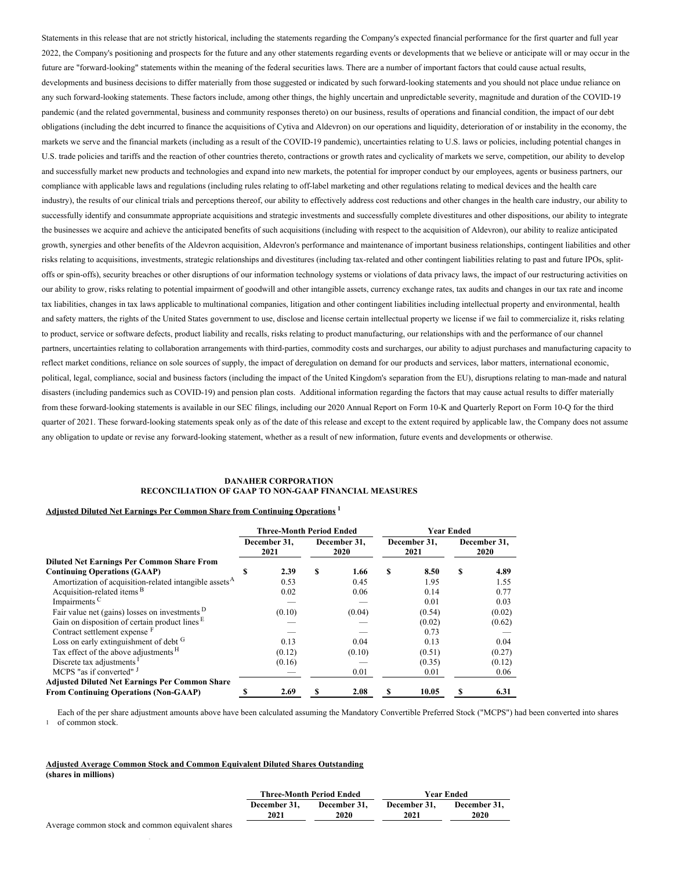Statements in this release that are not strictly historical, including the statements regarding the Company's expected financial performance for the first quarter and full year 2022, the Company's positioning and prospects for the future and any other statements regarding events or developments that we believe or anticipate will or may occur in the future are "forward-looking" statements within the meaning of the federal securities laws. There are a number of important factors that could cause actual results, developments and business decisions to differ materially from those suggested or indicated by such forward-looking statements and you should not place undue reliance on any such forward-looking statements. These factors include, among other things, the highly uncertain and unpredictable severity, magnitude and duration of the COVID-19 pandemic (and the related governmental, business and community responses thereto) on our business, results of operations and financial condition, the impact of our debt obligations (including the debt incurred to finance the acquisitions of Cytiva and Aldevron) on our operations and liquidity, deterioration of or instability in the economy, the markets we serve and the financial markets (including as a result of the COVID-19 pandemic), uncertainties relating to U.S. laws or policies, including potential changes in U.S. trade policies and tariffs and the reaction of other countries thereto, contractions or growth rates and cyclicality of markets we serve, competition, our ability to develop and successfully market new products and technologies and expand into new markets, the potential for improper conduct by our employees, agents or business partners, our compliance with applicable laws and regulations (including rules relating to off-label marketing and other regulations relating to medical devices and the health care industry), the results of our clinical trials and perceptions thereof, our ability to effectively address cost reductions and other changes in the health care industry, our ability to successfully identify and consummate appropriate acquisitions and strategic investments and successfully complete divestitures and other dispositions, our ability to integrate the businesses we acquire and achieve the anticipated benefits of such acquisitions (including with respect to the acquisition of Aldevron), our ability to realize anticipated growth, synergies and other benefits of the Aldevron acquisition, Aldevron's performance and maintenance of important business relationships, contingent liabilities and other risks relating to acquisitions, investments, strategic relationships and divestitures (including tax-related and other contingent liabilities relating to past and future IPOs, splitoffs or spin-offs), security breaches or other disruptions of our information technology systems or violations of data privacy laws, the impact of our restructuring activities on our ability to grow, risks relating to potential impairment of goodwill and other intangible assets, currency exchange rates, tax audits and changes in our tax rate and income tax liabilities, changes in tax laws applicable to multinational companies, litigation and other contingent liabilities including intellectual property and environmental, health and safety matters, the rights of the United States government to use, disclose and license certain intellectual property we license if we fail to commercialize it, risks relating to product, service or software defects, product liability and recalls, risks relating to product manufacturing, our relationships with and the performance of our channel partners, uncertainties relating to collaboration arrangements with third-parties, commodity costs and surcharges, our ability to adjust purchases and manufacturing capacity to reflect market conditions, reliance on sole sources of supply, the impact of deregulation on demand for our products and services, labor matters, international economic, political, legal, compliance, social and business factors (including the impact of the United Kingdom's separation from the EU), disruptions relating to man-made and natural disasters (including pandemics such as COVID-19) and pension plan costs. Additional information regarding the factors that may cause actual results to differ materially from these forward-looking statements is available in our SEC filings, including our 2020 Annual Report on Form 10-K and Quarterly Report on Form 10-Q for the third quarter of 2021. These forward-looking statements speak only as of the date of this release and except to the extent required by applicable law, the Company does not assume any obligation to update or revise any forward-looking statement, whether as a result of new information, future events and developments or otherwise.

# **DANAHER CORPORATION RECONCILIATION OF GAAP TO NON-GAAP FINANCIAL MEASURES**

# **Adjusted Diluted Net Earnings Per Common Share from Continuing Operations 1**

|                                                                    |                      | <b>Three-Month Period Ended</b> |                      |        |                      | <b>Year Ended</b> |   |                      |  |
|--------------------------------------------------------------------|----------------------|---------------------------------|----------------------|--------|----------------------|-------------------|---|----------------------|--|
|                                                                    | December 31.<br>2021 |                                 | December 31.<br>2020 |        | December 31.<br>2021 |                   |   | December 31.<br>2020 |  |
| <b>Diluted Net Earnings Per Common Share From</b>                  |                      |                                 |                      |        |                      |                   |   |                      |  |
| <b>Continuing Operations (GAAP)</b>                                | S                    | 2.39                            | S                    | 1.66   | S                    | 8.50              | S | 4.89                 |  |
| Amortization of acquisition-related intangible assets <sup>A</sup> |                      | 0.53                            |                      | 0.45   |                      | 1.95              |   | 1.55                 |  |
| Acquisition-related items <sup>B</sup>                             |                      | 0.02                            |                      | 0.06   |                      | 0.14              |   | 0.77                 |  |
| Impairments <sup>C</sup>                                           |                      |                                 |                      |        |                      | 0.01              |   | 0.03                 |  |
| Fair value net (gains) losses on investments <sup>D</sup>          |                      | (0.10)                          |                      | (0.04) |                      | (0.54)            |   | (0.02)               |  |
| Gain on disposition of certain product lines E                     |                      |                                 |                      |        |                      | (0.02)            |   | (0.62)               |  |
| Contract settlement expense F                                      |                      |                                 |                      |        |                      | 0.73              |   |                      |  |
| Loss on early extinguishment of debt <sup>G</sup>                  |                      | 0.13                            |                      | 0.04   |                      | 0.13              |   | 0.04                 |  |
| Tax effect of the above adjustments <sup>H</sup>                   |                      | (0.12)                          |                      | (0.10) |                      | (0.51)            |   | (0.27)               |  |
| Discrete tax adjustments $\frac{1}{1}$                             |                      | (0.16)                          |                      |        |                      | (0.35)            |   | (0.12)               |  |
| MCPS "as if converted" J                                           |                      |                                 |                      | 0.01   |                      | 0.01              |   | 0.06                 |  |
| <b>Adjusted Diluted Net Earnings Per Common Share</b>              |                      |                                 |                      |        |                      |                   |   |                      |  |
| <b>From Continuing Operations (Non-GAAP)</b>                       |                      | 2.69                            |                      | 2.08   | \$                   | 10.05             | S | 6.31                 |  |

Each of the per share adjustment amounts above have been calculated assuming the Mandatory Convertible Preferred Stock ("MCPS") had been converted into shares of common stock. 1

#### **Adjusted Average Common Stock and Common Equivalent Diluted Shares Outstanding (shares in millions)**

|                                                   |                      | <b>Three-Month Period Ended</b> |                      | <b>Year Ended</b>    |  |
|---------------------------------------------------|----------------------|---------------------------------|----------------------|----------------------|--|
|                                                   | December 31.<br>2021 | December 31.<br>2020            | December 31.<br>2021 | December 31.<br>2020 |  |
|                                                   |                      |                                 |                      |                      |  |
| Average common stock and common equivalent shares |                      |                                 |                      |                      |  |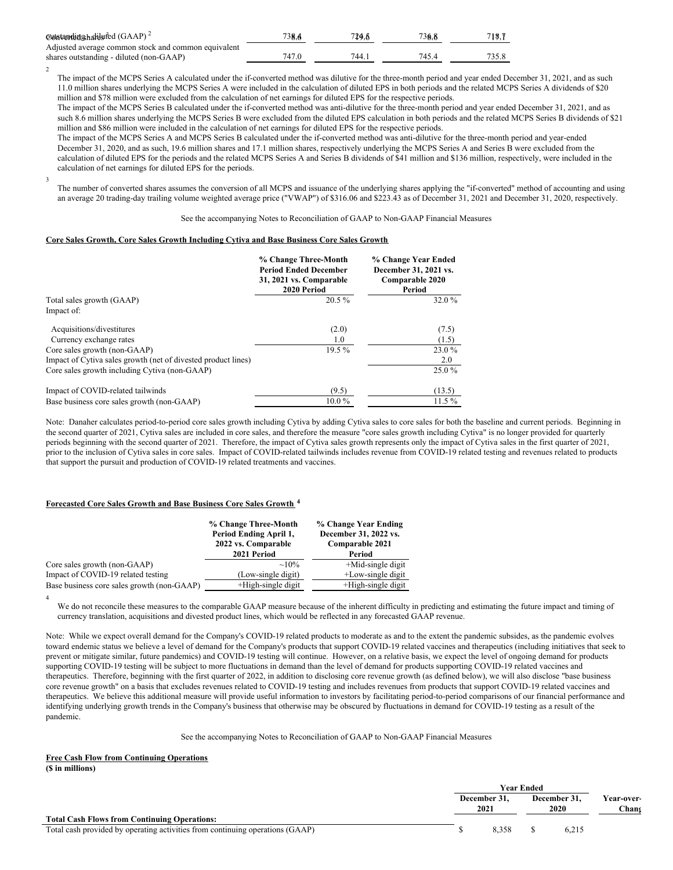| Outstandid shares and $(GAAP)^2$                    | 738.6 | 729.6 | 736.8 | 718.7 |
|-----------------------------------------------------|-------|-------|-------|-------|
| Adjusted average common stock and common equivalent |       |       |       |       |
| shares outstanding - diluted (non-GAAP)             | 747.0 | 744.1 | 745.4 | 735.8 |

The impact of the MCPS Series A calculated under the if-converted method was dilutive for the three-month period and year ended December 31, 2021, and as such 11.0 million shares underlying the MCPS Series A were included in the calculation of diluted EPS in both periods and the related MCPS Series A dividends of \$20 million and \$78 million were excluded from the calculation of net earnings for diluted EPS for the respective periods. 2

The impact of the MCPS Series B calculated under the if-converted method was anti-dilutive for the three-month period and year ended December 31, 2021, and as such 8.6 million shares underlying the MCPS Series B were excluded from the diluted EPS calculation in both periods and the related MCPS Series B dividends of \$21 million and \$86 million were included in the calculation of net earnings for diluted EPS for the respective periods.

The impact of the MCPS Series A and MCPS Series B calculated under the if-converted method was anti-dilutive for the three-month period and year-ended December 31, 2020, and as such, 19.6 million shares and 17.1 million shares, respectively underlying the MCPS Series A and Series B were excluded from the calculation of diluted EPS for the periods and the related MCPS Series A and Series B dividends of \$41 million and \$136 million, respectively, were included in the calculation of net earnings for diluted EPS for the periods.

3

The number of converted shares assumes the conversion of all MCPS and issuance of the underlying shares applying the "if-converted" method of accounting and using an average 20 trading-day trailing volume weighted average price ("VWAP") of \$316.06 and \$223.43 as of December 31, 2021 and December 31, 2020, respectively.

See the accompanying Notes to Reconciliation of GAAP to Non-GAAP Financial Measures

# **Core Sales Growth, Core Sales Growth Including Cytiva and Base Business Core Sales Growth**

|                                                               | % Change Three-Month<br><b>Period Ended December</b><br>31, 2021 vs. Comparable<br>2020 Period | % Change Year Ended<br>December 31, 2021 vs.<br>Comparable 2020<br>Period |
|---------------------------------------------------------------|------------------------------------------------------------------------------------------------|---------------------------------------------------------------------------|
| Total sales growth (GAAP)                                     | $20.5\%$                                                                                       | 32.0 %                                                                    |
| Impact of:                                                    |                                                                                                |                                                                           |
| Acquisitions/divestitures                                     | (2.0)                                                                                          | (7.5)                                                                     |
| Currency exchange rates                                       | 1.0                                                                                            | (1.5)                                                                     |
| Core sales growth (non-GAAP)                                  | $19.5\%$                                                                                       | 23.0 %                                                                    |
| Impact of Cytiva sales growth (net of divested product lines) |                                                                                                | 2.0                                                                       |
| Core sales growth including Cytiva (non-GAAP)                 |                                                                                                | 25.0%                                                                     |
| Impact of COVID-related tailwinds                             | (9.5)                                                                                          | (13.5)                                                                    |
| Base business core sales growth (non-GAAP)                    | $10.0\%$                                                                                       | $11.5\%$                                                                  |

Note: Danaher calculates period-to-period core sales growth including Cytiva by adding Cytiva sales to core sales for both the baseline and current periods. Beginning in the second quarter of 2021, Cytiva sales are included in core sales, and therefore the measure "core sales growth including Cytiva" is no longer provided for quarterly periods beginning with the second quarter of 2021. Therefore, the impact of Cytiva sales growth represents only the impact of Cytiva sales in the first quarter of 2021, prior to the inclusion of Cytiva sales in core sales. Impact of COVID-related tailwinds includes revenue from COVID-19 related testing and revenues related to products that support the pursuit and production of COVID-19 related treatments and vaccines.

#### **Forecasted Core Sales Growth and Base Business Core Sales Growth 4**

|                                            | % Change Three-Month<br>Period Ending April 1,<br>2022 vs. Comparable<br>2021 Period | % Change Year Ending<br>December 31, 2022 vs.<br><b>Comparable 2021</b><br>Period |
|--------------------------------------------|--------------------------------------------------------------------------------------|-----------------------------------------------------------------------------------|
| Core sales growth (non-GAAP)               | $\sim 10\%$                                                                          | $+$ Mid-single digit                                                              |
| Impact of COVID-19 related testing         | (Low-single digit)                                                                   | $+$ Low-single digit                                                              |
| Base business core sales growth (non-GAAP) | $+$ High-single digit                                                                | $+$ High-single digit                                                             |

We do not reconcile these measures to the comparable GAAP measure because of the inherent difficulty in predicting and estimating the future impact and timing of currency translation, acquisitions and divested product lines, which would be reflected in any forecasted GAAP revenue.

Note: While we expect overall demand for the Company's COVID-19 related products to moderate as and to the extent the pandemic subsides, as the pandemic evolves toward endemic status we believe a level of demand for the Company's products that support COVID-19 related vaccines and therapeutics (including initiatives that seek to prevent or mitigate similar, future pandemics) and COVID-19 testing will continue. However, on a relative basis, we expect the level of ongoing demand for products supporting COVID-19 testing will be subject to more fluctuations in demand than the level of demand for products supporting COVID-19 related vaccines and therapeutics. Therefore, beginning with the first quarter of 2022, in addition to disclosing core revenue growth (as defined below), we will also disclose "base business core revenue growth" on a basis that excludes revenues related to COVID-19 testing and includes revenues from products that support COVID-19 related vaccines and therapeutics. We believe this additional measure will provide useful information to investors by facilitating period-to-period comparisons of our financial performance and identifying underlying growth trends in the Company's business that otherwise may be obscured by fluctuations in demand for COVID-19 testing as a result of the pandemic.

#### See the accompanying Notes to Reconciliation of GAAP to Non-GAAP Financial Measures

# **Free Cash Flow from Continuing Operations**

**(\$ in millions)**

4

|                                                                               |              |       | <b>Year Ended</b> |                      |                     |
|-------------------------------------------------------------------------------|--------------|-------|-------------------|----------------------|---------------------|
|                                                                               | December 31. | 2021  |                   | December 31.<br>2020 | Year-over-<br>Chang |
| <b>Total Cash Flows from Continuing Operations:</b>                           |              |       |                   |                      |                     |
| Total cash provided by operating activities from continuing operations (GAAP) |              | 8.358 |                   | 6,215                |                     |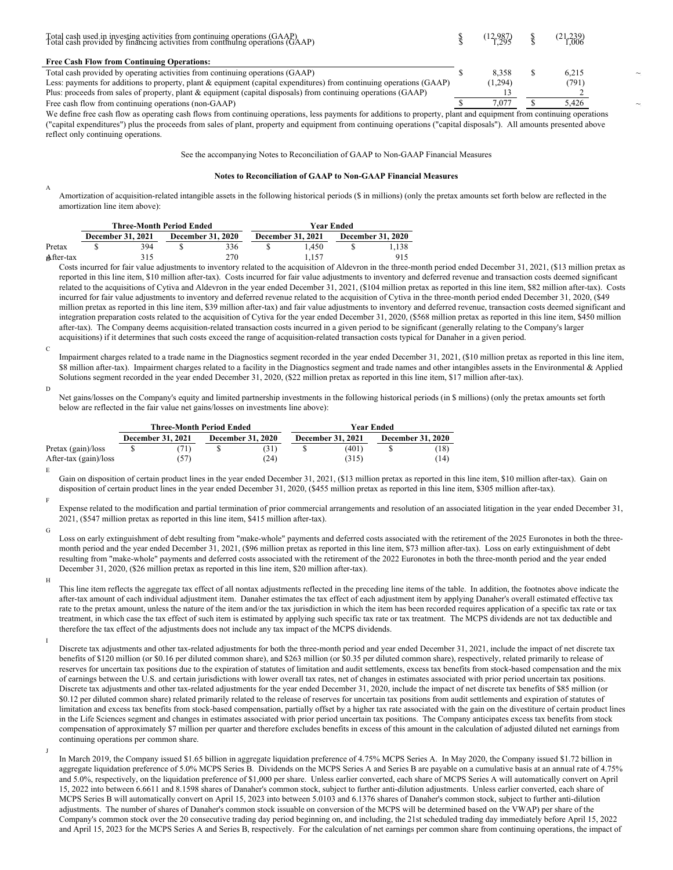| Total cash used in investing activities from continuing operations (GAAP)<br>Total cash provided by financing activities from continuing operations (GAAP) | (12, 987) | $(21, 239)$<br>$1,006$ |  |
|------------------------------------------------------------------------------------------------------------------------------------------------------------|-----------|------------------------|--|
| <b>Free Cash Flow from Continuing Operations:</b>                                                                                                          |           |                        |  |
| Total cash provided by operating activities from continuing operations (GAAP)                                                                              | 8.358     | 6.215                  |  |
| Less: payments for additions to property, plant & equipment (capital expenditures) from continuing operations (GAAP)                                       | (1.294)   | (791)                  |  |
| Plus: proceeds from sales of property, plant $\&$ equipment (capital disposals) from continuing operations (GAAP)                                          |           |                        |  |
| Free cash flow from continuing operations (non-GAAP)                                                                                                       | 7.077     | 5.426                  |  |
|                                                                                                                                                            |           |                        |  |

We define free cash flow as operating cash flows from continuing operations, less payments for additions to property, plant and equipment from continuing operations ("capital expenditures") plus the proceeds from sales of plant, property and equipment from continuing operations ("capital disposals"). All amounts presented above reflect only continuing operations.

See the accompanying Notes to Reconciliation of GAAP to Non-GAAP Financial Measures

#### **Notes to Reconciliation of GAAP to Non-GAAP Financial Measures**

Amortization of acquisition-related intangible assets in the following historical periods (\$ in millions) (only the pretax amounts set forth below are reflected in the amortization line item above): A

|           |                          | <b>Three-Month Period Ended</b> |                          |     | <b>Year Ended</b> |                          |                          |       |  |  |
|-----------|--------------------------|---------------------------------|--------------------------|-----|-------------------|--------------------------|--------------------------|-------|--|--|
|           | <b>December 31, 2021</b> |                                 | <b>December 31, 2020</b> |     |                   | <b>December 31, 2021</b> | <b>December 31, 2020</b> |       |  |  |
| Pretax    |                          | 394                             |                          | 336 |                   | 1.450                    |                          | 1.138 |  |  |
| After-tax |                          | 315                             |                          | 270 |                   | 1.157                    |                          | 915   |  |  |

Costs incurred for fair value adjustments to inventory related to the acquisition of Aldevron in the three-month period ended December 31, 2021, (\$13 million pretax as reported in this line item, \$10 million after-tax). Costs incurred for fair value adjustments to inventory and deferred revenue and transaction costs deemed significant related to the acquisitions of Cytiva and Aldevron in the year ended December 31, 2021, (\$104 million pretax as reported in this line item, \$82 million after-tax). Costs incurred for fair value adjustments to inventory and deferred revenue related to the acquisition of Cytiva in the three-month period ended December 31, 2020, (\$49 million pretax as reported in this line item, \$39 million after-tax) and fair value adjustments to inventory and deferred revenue, transaction costs deemed significant and integration preparation costs related to the acquisition of Cytiva for the year ended December 31, 2020, (\$568 million pretax as reported in this line item, \$450 million after-tax). The Company deems acquisition-related transaction costs incurred in a given period to be significant (generally relating to the Company's larger acquisitions) if it determines that such costs exceed the range of acquisition-related transaction costs typical for Danaher in a given period.

Impairment charges related to a trade name in the Diagnostics segment recorded in the year ended December 31, 2021, (\$10 million pretax as reported in this line item, \$8 million after-tax). Impairment charges related to a facility in the Diagnostics segment and trade names and other intangibles assets in the Environmental & Applied Solutions segment recorded in the year ended December 31, 2020, (\$22 million pretax as reported in this line item, \$17 million after-tax).

D

 $\overline{C}$ 

Net gains/losses on the Company's equity and limited partnership investments in the following historical periods (in \$ millions) (only the pretax amounts set forth below are reflected in the fair value net gains/losses on investments line above):

|                                             |                          |      | <b>Three-Month Period Ended</b> |              | <b>Year Ended</b> |                          |                          |              |  |  |
|---------------------------------------------|--------------------------|------|---------------------------------|--------------|-------------------|--------------------------|--------------------------|--------------|--|--|
|                                             | <b>December 31, 2021</b> |      | <b>December 31, 2020</b>        |              |                   | <b>December 31, 2021</b> | <b>December 31, 2020</b> |              |  |  |
| Pretax (gain)/loss<br>After-tax (gain)/loss |                          | (57) |                                 | (31)<br>(24) |                   | (401)<br>(315)           |                          | (18)<br>(14) |  |  |

Gain on disposition of certain product lines in the year ended December 31, 2021, (\$13 million pretax as reported in this line item, \$10 million after-tax). Gain on disposition of certain product lines in the year ended December 31, 2020, (\$455 million pretax as reported in this line item, \$305 million after-tax). E

Expense related to the modification and partial termination of prior commercial arrangements and resolution of an associated litigation in the year ended December 31, 2021, (\$547 million pretax as reported in this line item, \$415 million after-tax).

G

F

Loss on early extinguishment of debt resulting from "make-whole" payments and deferred costs associated with the retirement of the 2025 Euronotes in both the three month period and the year ended December 31, 2021, (\$96 million pretax as reported in this line item, \$73 million after-tax). Loss on early extinguishment of debt resulting from "make-whole" payments and deferred costs associated with the retirement of the 2022 Euronotes in both the three-month period and the year ended December 31, 2020, (\$26 million pretax as reported in this line item, \$20 million after-tax).

H

This line item reflects the aggregate tax effect of all nontax adjustments reflected in the preceding line items of the table. In addition, the footnotes above indicate the after-tax amount of each individual adjustment item. Danaher estimates the tax effect of each adjustment item by applying Danaher's overall estimated effective tax rate to the pretax amount, unless the nature of the item and/or the tax jurisdiction in which the item has been recorded requires application of a specific tax rate or tax treatment, in which case the tax effect of such item is estimated by applying such specific tax rate or tax treatment. The MCPS dividends are not tax deductible and therefore the tax effect of the adjustments does not include any tax impact of the MCPS dividends.

I

J

Discrete tax adjustments and other tax-related adjustments for both the three-month period and year ended December 31, 2021, include the impact of net discrete tax benefits of \$120 million (or \$0.16 per diluted common share), and \$263 million (or \$0.35 per diluted common share), respectively, related primarily to release of reserves for uncertain tax positions due to the expiration of statutes of limitation and audit settlements, excess tax benefits from stock-based compensation and the mix of earnings between the U.S. and certain jurisdictions with lower overall tax rates, net of changes in estimates associated with prior period uncertain tax positions. Discrete tax adjustments and other tax-related adjustments for the year ended December 31, 2020, include the impact of net discrete tax benefits of \$85 million (or \$0.12 per diluted common share) related primarily related to the release of reserves for uncertain tax positions from audit settlements and expiration of statutes of limitation and excess tax benefits from stock-based compensation, partially offset by a higher tax rate associated with the gain on the divestiture of certain product lines in the Life Sciences segment and changes in estimates associated with prior period uncertain tax positions. The Company anticipates excess tax benefits from stock compensation of approximately \$7 million per quarter and therefore excludes benefits in excess of this amount in the calculation of adjusted diluted net earnings from continuing operations per common share.

In March 2019, the Company issued \$1.65 billion in aggregate liquidation preference of 4.75% MCPS Series A. In May 2020, the Company issued \$1.72 billion in aggregate liquidation preference of 5.0% MCPS Series B. Dividends on the MCPS Series A and Series B are payable on a cumulative basis at an annual rate of 4.75% and 5.0%, respectively, on the liquidation preference of \$1,000 per share. Unless earlier converted, each share of MCPS Series A will automatically convert on April 15, 2022 into between 6.6611 and 8.1598 shares of Danaher's common stock, subject to further anti-dilution adjustments. Unless earlier converted, each share of MCPS Series B will automatically convert on April 15, 2023 into between 5.0103 and 6.1376 shares of Danaher's common stock, subject to further anti-dilution adjustments. The number of shares of Danaher's common stock issuable on conversion of the MCPS will be determined based on the VWAP) per share of the Company's common stock over the 20 consecutive trading day period beginning on, and including, the 21st scheduled trading day immediately before April 15, 2022 and April 15, 2023 for the MCPS Series A and Series B, respectively. For the calculation of net earnings per common share from continuing operations, the impact of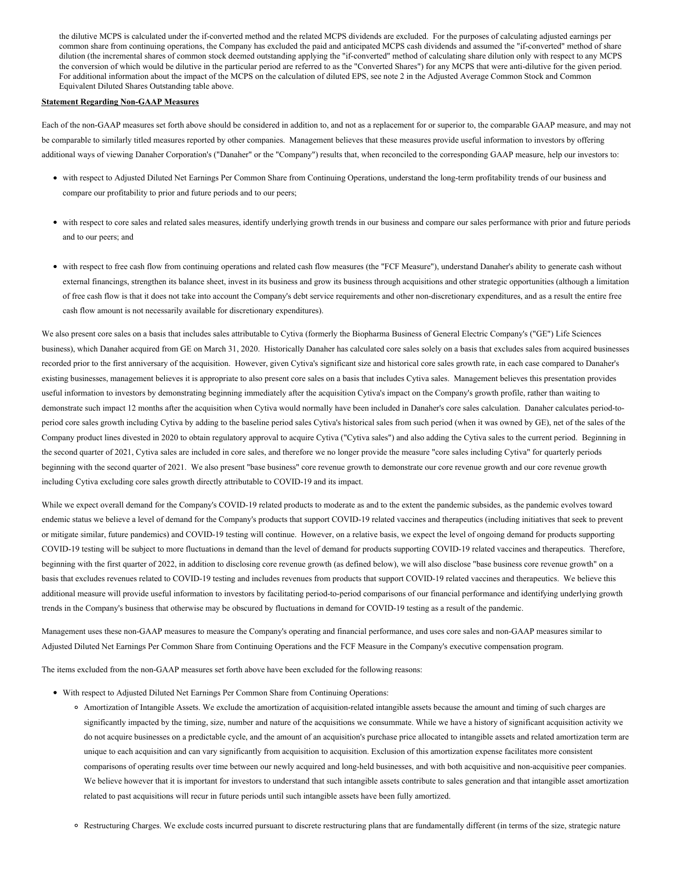the dilutive MCPS is calculated under the if-converted method and the related MCPS dividends are excluded. For the purposes of calculating adjusted earnings per common share from continuing operations, the Company has excluded the paid and anticipated MCPS cash dividends and assumed the "if-converted" method of share dilution (the incremental shares of common stock deemed outstanding applying the "if-converted" method of calculating share dilution only with respect to any MCPS the conversion of which would be dilutive in the particular period are referred to as the "Converted Shares") for any MCPS that were anti-dilutive for the given period. For additional information about the impact of the MCPS on the calculation of diluted EPS, see note 2 in the Adjusted Average Common Stock and Common Equivalent Diluted Shares Outstanding table above.

# **Statement Regarding Non-GAAP Measures**

Each of the non-GAAP measures set forth above should be considered in addition to, and not as a replacement for or superior to, the comparable GAAP measure, and may not be comparable to similarly titled measures reported by other companies. Management believes that these measures provide useful information to investors by offering additional ways of viewing Danaher Corporation's ("Danaher" or the "Company") results that, when reconciled to the corresponding GAAP measure, help our investors to:

- with respect to Adjusted Diluted Net Earnings Per Common Share from Continuing Operations, understand the long-term profitability trends of our business and compare our profitability to prior and future periods and to our peers;
- with respect to core sales and related sales measures, identify underlying growth trends in our business and compare our sales performance with prior and future periods and to our peers; and
- with respect to free cash flow from continuing operations and related cash flow measures (the "FCF Measure"), understand Danaher's ability to generate cash without external financings, strengthen its balance sheet, invest in its business and grow its business through acquisitions and other strategic opportunities (although a limitation of free cash flow is that it does not take into account the Company's debt service requirements and other non-discretionary expenditures, and as a result the entire free cash flow amount is not necessarily available for discretionary expenditures).

We also present core sales on a basis that includes sales attributable to Cytiva (formerly the Biopharma Business of General Electric Company's ("GE") Life Sciences business), which Danaher acquired from GE on March 31, 2020. Historically Danaher has calculated core sales solely on a basis that excludes sales from acquired businesses recorded prior to the first anniversary of the acquisition. However, given Cytiva's significant size and historical core sales growth rate, in each case compared to Danaher's existing businesses, management believes it is appropriate to also present core sales on a basis that includes Cytiva sales. Management believes this presentation provides useful information to investors by demonstrating beginning immediately after the acquisition Cytiva's impact on the Company's growth profile, rather than waiting to demonstrate such impact 12 months after the acquisition when Cytiva would normally have been included in Danaher's core sales calculation. Danaher calculates period-toperiod core sales growth including Cytiva by adding to the baseline period sales Cytiva's historical sales from such period (when it was owned by GE), net of the sales of the Company product lines divested in 2020 to obtain regulatory approval to acquire Cytiva ("Cytiva sales") and also adding the Cytiva sales to the current period. Beginning in the second quarter of 2021, Cytiva sales are included in core sales, and therefore we no longer provide the measure "core sales including Cytiva" for quarterly periods beginning with the second quarter of 2021. We also present "base business" core revenue growth to demonstrate our core revenue growth and our core revenue growth including Cytiva excluding core sales growth directly attributable to COVID-19 and its impact.

While we expect overall demand for the Company's COVID-19 related products to moderate as and to the extent the pandemic subsides, as the pandemic evolves toward endemic status we believe a level of demand for the Company's products that support COVID-19 related vaccines and therapeutics (including initiatives that seek to prevent or mitigate similar, future pandemics) and COVID-19 testing will continue. However, on a relative basis, we expect the level of ongoing demand for products supporting COVID-19 testing will be subject to more fluctuations in demand than the level of demand for products supporting COVID-19 related vaccines and therapeutics. Therefore, beginning with the first quarter of 2022, in addition to disclosing core revenue growth (as defined below), we will also disclose "base business core revenue growth" on a basis that excludes revenues related to COVID-19 testing and includes revenues from products that support COVID-19 related vaccines and therapeutics. We believe this additional measure will provide useful information to investors by facilitating period-to-period comparisons of our financial performance and identifying underlying growth trends in the Company's business that otherwise may be obscured by fluctuations in demand for COVID-19 testing as a result of the pandemic.

Management uses these non-GAAP measures to measure the Company's operating and financial performance, and uses core sales and non-GAAP measures similar to Adjusted Diluted Net Earnings Per Common Share from Continuing Operations and the FCF Measure in the Company's executive compensation program.

The items excluded from the non-GAAP measures set forth above have been excluded for the following reasons:

- With respect to Adjusted Diluted Net Earnings Per Common Share from Continuing Operations:
	- Amortization of Intangible Assets. We exclude the amortization of acquisition-related intangible assets because the amount and timing of such charges are significantly impacted by the timing, size, number and nature of the acquisitions we consummate. While we have a history of significant acquisition activity we do not acquire businesses on a predictable cycle, and the amount of an acquisition's purchase price allocated to intangible assets and related amortization term are unique to each acquisition and can vary significantly from acquisition to acquisition. Exclusion of this amortization expense facilitates more consistent comparisons of operating results over time between our newly acquired and long-held businesses, and with both acquisitive and non-acquisitive peer companies. We believe however that it is important for investors to understand that such intangible assets contribute to sales generation and that intangible asset amortization related to past acquisitions will recur in future periods until such intangible assets have been fully amortized.
	- Restructuring Charges. We exclude costs incurred pursuant to discrete restructuring plans that are fundamentally different (in terms of the size, strategic nature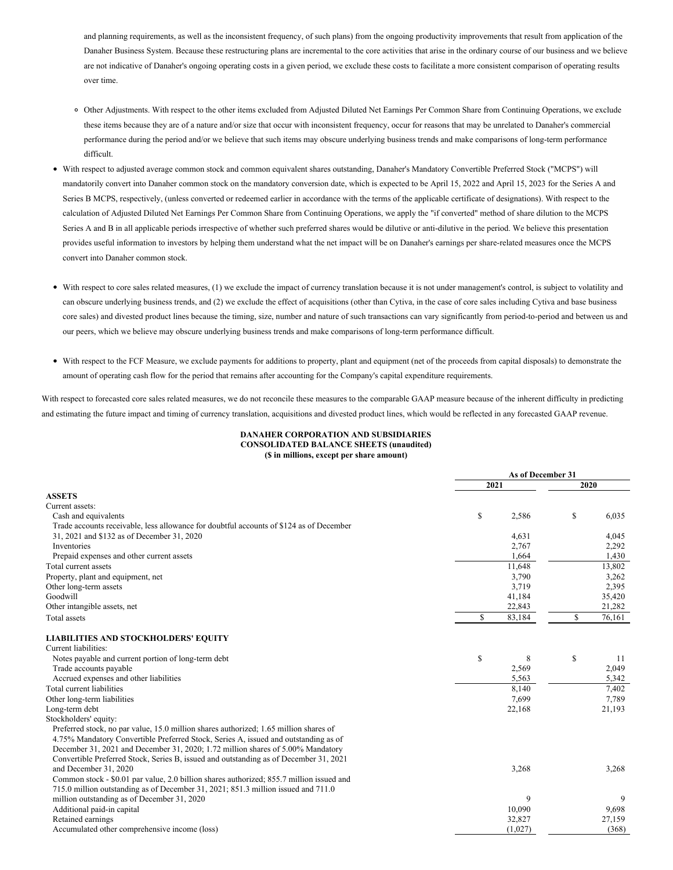and planning requirements, as well as the inconsistent frequency, of such plans) from the ongoing productivity improvements that result from application of the Danaher Business System. Because these restructuring plans are incremental to the core activities that arise in the ordinary course of our business and we believe are not indicative of Danaher's ongoing operating costs in a given period, we exclude these costs to facilitate a more consistent comparison of operating results over time.

- Other Adjustments. With respect to the other items excluded from Adjusted Diluted Net Earnings Per Common Share from Continuing Operations, we exclude these items because they are of a nature and/or size that occur with inconsistent frequency, occur for reasons that may be unrelated to Danaher's commercial performance during the period and/or we believe that such items may obscure underlying business trends and make comparisons of long-term performance difficult.
- With respect to adjusted average common stock and common equivalent shares outstanding, Danaher's Mandatory Convertible Preferred Stock ("MCPS") will mandatorily convert into Danaher common stock on the mandatory conversion date, which is expected to be April 15, 2022 and April 15, 2023 for the Series A and Series B MCPS, respectively, (unless converted or redeemed earlier in accordance with the terms of the applicable certificate of designations). With respect to the calculation of Adjusted Diluted Net Earnings Per Common Share from Continuing Operations, we apply the "if converted" method of share dilution to the MCPS Series A and B in all applicable periods irrespective of whether such preferred shares would be dilutive or anti-dilutive in the period. We believe this presentation provides useful information to investors by helping them understand what the net impact will be on Danaher's earnings per share-related measures once the MCPS convert into Danaher common stock.
- With respect to core sales related measures, (1) we exclude the impact of currency translation because it is not under management's control, is subject to volatility and can obscure underlying business trends, and (2) we exclude the effect of acquisitions (other than Cytiva, in the case of core sales including Cytiva and base business core sales) and divested product lines because the timing, size, number and nature of such transactions can vary significantly from period-to-period and between us and our peers, which we believe may obscure underlying business trends and make comparisons of long-term performance difficult.
- With respect to the FCF Measure, we exclude payments for additions to property, plant and equipment (net of the proceeds from capital disposals) to demonstrate the amount of operating cash flow for the period that remains after accounting for the Company's capital expenditure requirements.

With respect to forecasted core sales related measures, we do not reconcile these measures to the comparable GAAP measure because of the inherent difficulty in predicting and estimating the future impact and timing of currency translation, acquisitions and divested product lines, which would be reflected in any forecasted GAAP revenue.

#### **DANAHER CORPORATION AND SUBSIDIARIES CONSOLIDATED BALANCE SHEETS (unaudited) (\$ in millions, except per share amount)**

|                                                                                          |      | As of December 31 |      |        |
|------------------------------------------------------------------------------------------|------|-------------------|------|--------|
|                                                                                          | 2021 |                   | 2020 |        |
| <b>ASSETS</b>                                                                            |      |                   |      |        |
| Current assets:                                                                          |      |                   |      |        |
| Cash and equivalents                                                                     | \$   | 2,586             | \$   | 6,035  |
| Trade accounts receivable, less allowance for doubtful accounts of \$124 as of December  |      |                   |      |        |
| 31, 2021 and \$132 as of December 31, 2020                                               |      | 4,631             |      | 4,045  |
| <b>Inventories</b>                                                                       |      | 2,767             |      | 2,292  |
| Prepaid expenses and other current assets                                                |      | 1,664             |      | 1,430  |
| Total current assets                                                                     |      | 11,648            |      | 13,802 |
| Property, plant and equipment, net                                                       |      | 3,790             |      | 3,262  |
| Other long-term assets                                                                   |      | 3,719             |      | 2,395  |
| Goodwill                                                                                 |      | 41,184            |      | 35,420 |
| Other intangible assets, net                                                             |      | 22,843            |      | 21,282 |
| <b>Total assets</b>                                                                      | \$   | 83,184            | \$   | 76,161 |
| <b>LIABILITIES AND STOCKHOLDERS' EQUITY</b>                                              |      |                   |      |        |
| Current liabilities:                                                                     |      |                   |      |        |
| Notes payable and current portion of long-term debt                                      | \$   | 8                 | \$   | 11     |
| Trade accounts payable                                                                   |      | 2,569             |      | 2,049  |
| Accrued expenses and other liabilities                                                   |      | 5,563             |      | 5,342  |
| Total current liabilities                                                                |      | 8,140             |      | 7.402  |
| Other long-term liabilities                                                              |      | 7,699             |      | 7,789  |
| Long-term debt                                                                           |      | 22,168            |      | 21,193 |
| Stockholders' equity:                                                                    |      |                   |      |        |
| Preferred stock, no par value, 15.0 million shares authorized; 1.65 million shares of    |      |                   |      |        |
| 4.75% Mandatory Convertible Preferred Stock, Series A, issued and outstanding as of      |      |                   |      |        |
| December 31, 2021 and December 31, 2020; 1.72 million shares of 5.00% Mandatory          |      |                   |      |        |
| Convertible Preferred Stock, Series B, issued and outstanding as of December 31, 2021    |      |                   |      |        |
| and December 31, 2020                                                                    |      | 3,268             |      | 3,268  |
| Common stock - \$0.01 par value, 2.0 billion shares authorized; 855.7 million issued and |      |                   |      |        |
| 715.0 million outstanding as of December 31, 2021; 851.3 million issued and 711.0        |      |                   |      |        |
| million outstanding as of December 31, 2020                                              |      | 9                 |      | 9      |
| Additional paid-in capital                                                               |      | 10,090            |      | 9,698  |
| Retained earnings                                                                        |      | 32,827            |      | 27,159 |
| Accumulated other comprehensive income (loss)                                            |      | (1,027)           |      | (368)  |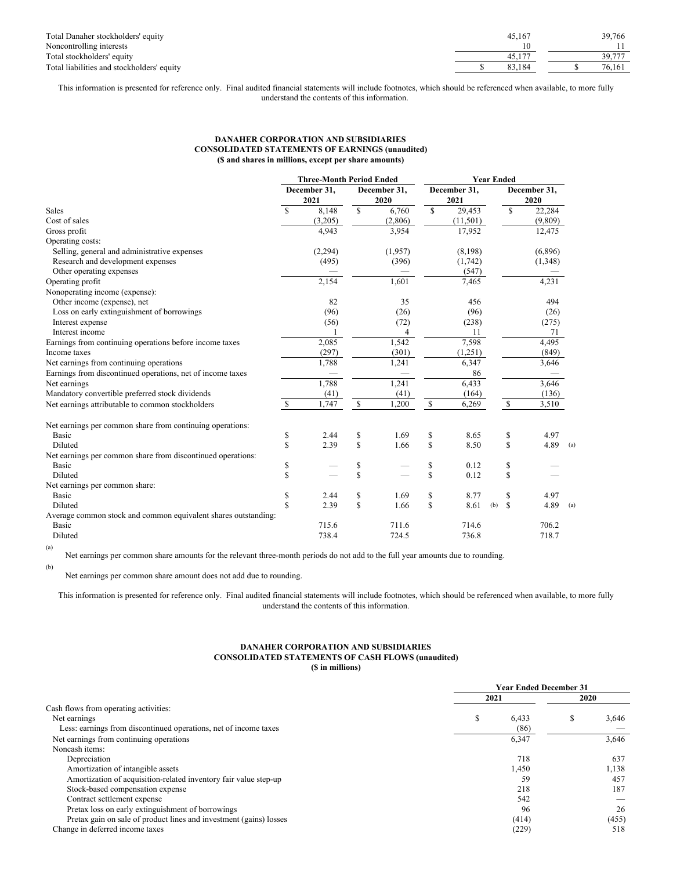| Total Danaher stockholders' equity         | 45.167 |  | 39.766 |
|--------------------------------------------|--------|--|--------|
| Noncontrolling interests                   |        |  |        |
| Total stockholders' equity                 | 45.1   |  | 39,777 |
| Total liabilities and stockholders' equity | 83.184 |  | 76.161 |

This information is presented for reference only. Final audited financial statements will include footnotes, which should be referenced when available, to more fully understand the contents of this information.

#### **DANAHER CORPORATION AND SUBSIDIARIES CONSOLIDATED STATEMENTS OF EARNINGS (unaudited) (\$ and shares in millions, except per share amounts)**

|                                                                |              | <b>Three-Month Period Ended</b> |             |                      |              |                      |     | <b>Year Ended</b>    |         |     |
|----------------------------------------------------------------|--------------|---------------------------------|-------------|----------------------|--------------|----------------------|-----|----------------------|---------|-----|
|                                                                |              | December 31,<br>2021            |             | December 31,<br>2020 |              | December 31,<br>2021 |     | December 31,<br>2020 |         |     |
| <b>Sales</b>                                                   | S            | 8,148                           | \$          | 6,760                | $\mathbb{S}$ | 29,453               |     | S                    | 22,284  |     |
| Cost of sales                                                  |              | (3,205)                         |             | (2,806)              |              | (11, 501)            |     |                      | (9,809) |     |
| Gross profit                                                   |              | 4,943                           |             | 3,954                |              | 17,952               |     |                      | 12,475  |     |
| Operating costs:                                               |              |                                 |             |                      |              |                      |     |                      |         |     |
| Selling, general and administrative expenses                   |              | (2, 294)                        |             | (1,957)              |              | (8,198)              |     |                      | (6,896) |     |
| Research and development expenses                              |              | (495)                           |             | (396)                |              | (1,742)              |     |                      | (1,348) |     |
| Other operating expenses                                       |              |                                 |             |                      |              | (547)                |     |                      |         |     |
| Operating profit                                               |              | 2.154                           |             | 1,601                |              | 7,465                |     |                      | 4,231   |     |
| Nonoperating income (expense):                                 |              |                                 |             |                      |              |                      |     |                      |         |     |
| Other income (expense), net                                    |              | 82                              |             | 35                   |              | 456                  |     |                      | 494     |     |
| Loss on early extinguishment of borrowings                     |              | (96)                            |             | (26)                 |              | (96)                 |     |                      | (26)    |     |
| Interest expense                                               |              | (56)                            |             | (72)                 |              | (238)                |     |                      | (275)   |     |
| Interest income                                                |              |                                 |             | 4                    |              | 11                   |     |                      | 71      |     |
| Earnings from continuing operations before income taxes        |              | 2,085                           |             | 1,542                |              | 7,598                |     |                      | 4,495   |     |
| Income taxes                                                   |              | (297)                           |             | (301)                |              | (1,251)              |     |                      | (849)   |     |
| Net earnings from continuing operations                        |              | 1,788                           |             | 1,241                |              | 6,347                |     |                      | 3,646   |     |
| Earnings from discontinued operations, net of income taxes     |              |                                 |             |                      |              | 86                   |     |                      |         |     |
| Net earnings                                                   |              | 1,788                           |             | 1,241                |              | 6,433                |     |                      | 3,646   |     |
| Mandatory convertible preferred stock dividends                |              | (41)                            |             | (41)                 |              | (164)                |     |                      | (136)   |     |
| Net earnings attributable to common stockholders               | $\mathbb{S}$ | 1,747                           | $\mathbb S$ | 1,200                | $\mathbb S$  | 6,269                |     | $\mathbb{S}$         | 3,510   |     |
| Net earnings per common share from continuing operations:      |              |                                 |             |                      |              |                      |     |                      |         |     |
| Basic                                                          | \$           | 2.44                            | \$          | 1.69                 | \$           | 8.65                 |     | \$                   | 4.97    |     |
| Diluted                                                        | $\mathbf S$  | 2.39                            | \$          | 1.66                 | \$           | 8.50                 |     | \$                   | 4.89    | (a) |
| Net earnings per common share from discontinued operations:    |              |                                 |             |                      |              |                      |     |                      |         |     |
| Basic                                                          | \$           |                                 | \$          |                      | \$           | 0.12                 |     | \$                   |         |     |
| Diluted                                                        | \$           |                                 | \$          |                      | \$           | 0.12                 |     | \$                   |         |     |
| Net earnings per common share:                                 |              |                                 |             |                      |              |                      |     |                      |         |     |
| Basic                                                          | \$           | 2.44                            | \$          | 1.69                 | \$           | 8.77                 |     | \$                   | 4.97    |     |
| Diluted                                                        | $\mathbf S$  | 2.39                            | S           | 1.66                 | \$           | 8.61                 | (b) | \$                   | 4.89    | (a) |
| Average common stock and common equivalent shares outstanding: |              |                                 |             |                      |              |                      |     |                      |         |     |
| Basic                                                          |              | 715.6                           |             | 711.6                |              | 714.6                |     |                      | 706.2   |     |
| Diluted                                                        |              | 738.4                           |             | 724.5                |              | 736.8                |     |                      | 718.7   |     |

(a) (b)

Net earnings per common share amounts for the relevant three-month periods do not add to the full year amounts due to rounding.

Net earnings per common share amount does not add due to rounding.

This information is presented for reference only. Final audited financial statements will include footnotes, which should be referenced when available, to more fully understand the contents of this information.

#### **DANAHER CORPORATION AND SUBSIDIARIES CONSOLIDATED STATEMENTS OF CASH FLOWS (unaudited) (\$ in millions)**

|                                                                    | <b>Year Ended December 31</b> |       |  |       |  |
|--------------------------------------------------------------------|-------------------------------|-------|--|-------|--|
|                                                                    |                               | 2021  |  | 2020  |  |
| Cash flows from operating activities:                              |                               |       |  |       |  |
| Net earnings                                                       |                               | 6.433 |  | 3,646 |  |
| Less: earnings from discontinued operations, net of income taxes   |                               | (86)  |  |       |  |
| Net earnings from continuing operations                            |                               | 6,347 |  | 3,646 |  |
| Noncash items:                                                     |                               |       |  |       |  |
| Depreciation                                                       |                               | 718   |  | 637   |  |
| Amortization of intangible assets                                  |                               | 1,450 |  | 1,138 |  |
| Amortization of acquisition-related inventory fair value step-up   |                               | 59    |  | 457   |  |
| Stock-based compensation expense                                   |                               | 218   |  | 187   |  |
| Contract settlement expense                                        |                               | 542   |  |       |  |
| Pretax loss on early extinguishment of borrowings                  |                               | 96    |  | 26    |  |
| Pretax gain on sale of product lines and investment (gains) losses |                               | (414) |  | (455) |  |
| Change in deferred income taxes                                    |                               | (229) |  | 518   |  |